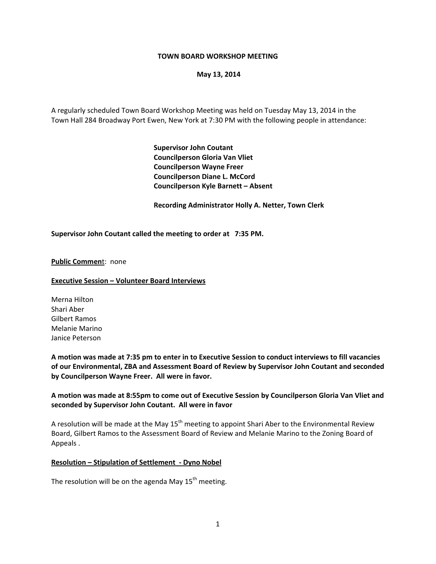### **TOWN BOARD WORKSHOP MEETING**

### **May 13, 2014**

A regularly scheduled Town Board Workshop Meeting was held on Tuesday May 13, 2014 in the Town Hall 284 Broadway Port Ewen, New York at 7:30 PM with the following people in attendance:

> **Supervisor John Coutant Councilperson Gloria Van Vliet Councilperson Wayne Freer Councilperson Diane L. McCord Councilperson Kyle Barnett – Absent**

 **Recording Administrator Holly A. Netter, Town Clerk**

### **Supervisor John Coutant called the meeting to order at 7:35 PM.**

### **Public Commen**t: none

#### **Executive Session – Volunteer Board Interviews**

Merna Hilton Shari Aber Gilbert Ramos Melanie Marino Janice Peterson

A motion was made at 7:35 pm to enter in to Executive Session to conduct interviews to fill vacancies **of our Environmental, ZBA and Assessment Board of Review by Supervisor John Coutant and seconded by Councilperson Wayne Freer. All were in favor.** 

## **A motion was made at 8:55pm to come out of Executive Session by Councilperson Gloria Van Vliet and seconded by Supervisor John Coutant. All were in favor**

A resolution will be made at the May  $15<sup>th</sup>$  meeting to appoint Shari Aber to the Environmental Review Board, Gilbert Ramos to the Assessment Board of Review and Melanie Marino to the Zoning Board of Appeals .

### **Resolution – Stipulation of Settlement ‐ Dyno Nobel**

The resolution will be on the agenda May  $15<sup>th</sup>$  meeting.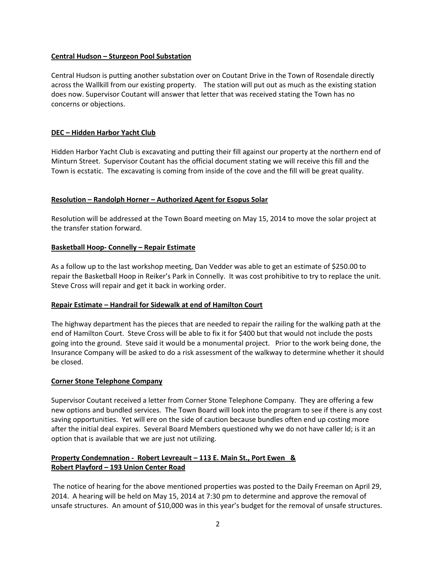## **Central Hudson – Sturgeon Pool Substation**

Central Hudson is putting another substation over on Coutant Drive in the Town of Rosendale directly across the Wallkill from our existing property. The station will put out as much as the existing station does now. Supervisor Coutant will answer that letter that was received stating the Town has no concerns or objections.

# **DEC – Hidden Harbor Yacht Club**

Hidden Harbor Yacht Club is excavating and putting their fill against our property at the northern end of Minturn Street. Supervisor Coutant has the official document stating we will receive this fill and the Town is ecstatic. The excavating is coming from inside of the cove and the fill will be great quality.

# **Resolution – Randolph Horner – Authorized Agent for Esopus Solar**

Resolution will be addressed at the Town Board meeting on May 15, 2014 to move the solar project at the transfer station forward.

## **Basketball Hoop‐ Connelly – Repair Estimate**

As a follow up to the last workshop meeting, Dan Vedder was able to get an estimate of \$250.00 to repair the Basketball Hoop in Reiker's Park in Connelly. It was cost prohibitive to try to replace the unit. Steve Cross will repair and get it back in working order.

## **Repair Estimate – Handrail for Sidewalk at end of Hamilton Court**

The highway department has the pieces that are needed to repair the railing for the walking path at the end of Hamilton Court. Steve Cross will be able to fix it for \$400 but that would not include the posts going into the ground. Steve said it would be a monumental project. Prior to the work being done, the Insurance Company will be asked to do a risk assessment of the walkway to determine whether it should be closed.

## **Corner Stone Telephone Company**

Supervisor Coutant received a letter from Corner Stone Telephone Company. They are offering a few new options and bundled services. The Town Board will look into the program to see if there is any cost saving opportunities. Yet will ere on the side of caution because bundles often end up costing more after the initial deal expires. Several Board Members questioned why we do not have caller Id; is it an option that is available that we are just not utilizing.

# **Property Condemnation ‐ Robert Levreault – 113 E. Main St., Port Ewen & Robert Playford – 193 Union Center Road**

The notice of hearing for the above mentioned properties was posted to the Daily Freeman on April 29, 2014. A hearing will be held on May 15, 2014 at 7:30 pm to determine and approve the removal of unsafe structures. An amount of \$10,000 was in this year's budget for the removal of unsafe structures.